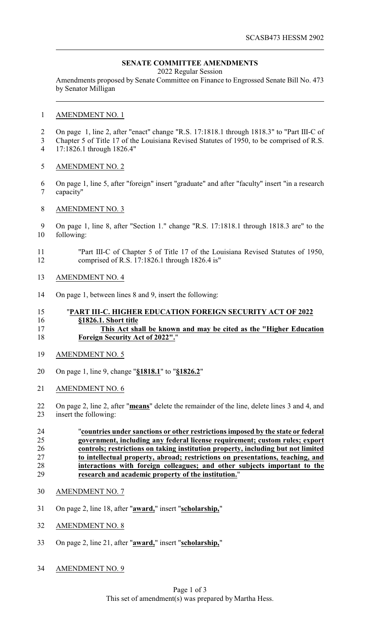# **SENATE COMMITTEE AMENDMENTS**

2022 Regular Session

Amendments proposed by Senate Committee on Finance to Engrossed Senate Bill No. 473 by Senator Milligan

### AMENDMENT NO. 1

- On page 1, line 2, after "enact" change "R.S. 17:1818.1 through 1818.3" to "Part III-C of
- Chapter 5 of Title 17 of the Louisiana Revised Statutes of 1950, to be comprised of R.S. 17:1826.1 through 1826.4"
- AMENDMENT NO. 2
- On page 1, line 5, after "foreign" insert "graduate" and after "faculty" insert "in a research capacity"
- AMENDMENT NO. 3
- On page 1, line 8, after "Section 1." change "R.S. 17:1818.1 through 1818.3 are" to the following:
- "Part III-C of Chapter 5 of Title 17 of the Louisiana Revised Statutes of 1950, comprised of R.S. 17:1826.1 through 1826.4 is"
- AMENDMENT NO. 4
- On page 1, between lines 8 and 9, insert the following:

#### "**PART III-C. HIGHER EDUCATION FOREIGN SECURITY ACT OF 2022 §1826.1. Short title**

## **This Act shall be known and may be cited as the "Higher Education Foreign Security Act of 2022".**"

- AMENDMENT NO. 5
- On page 1, line 9, change "**§1818.1**" to "**§1826.2**"
- AMENDMENT NO. 6
- On page 2, line 2, after "**means**" delete the remainder of the line, delete lines 3 and 4, and insert the following:
- "**countries under sanctions or other restrictions imposed by the state or federal government, including any federal license requirement; custom rules; export controls; restrictions on taking institution property, including but not limited to intellectual property, abroad; restrictions on presentations, teaching, and** 28 **interactions with foreign colleagues; and other subjects important to the**<br>29 **interact and academic property of the institution.**" **research and academic property of the institution.**"
- AMENDMENT NO. 7
- On page 2, line 18, after "**award,**" insert "**scholarship,**"
- AMENDMENT NO. 8
- On page 2, line 21, after "**award,**" insert "**scholarship,**"
- AMENDMENT NO. 9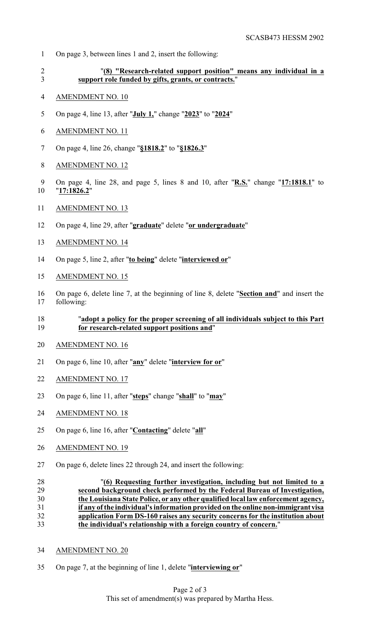- On page 3, between lines 1 and 2, insert the following:
- "**(8) "Research-related support position" means any individual in a support role funded by gifts, grants, or contracts.**"
- AMENDMENT NO. 10
- On page 4, line 13, after "**July 1,**" change "**2023**" to "**2024**"
- AMENDMENT NO. 11
- On page 4, line 26, change "**§1818.2**" to "**§1826.3**"
- AMENDMENT NO. 12
- On page 4, line 28, and page 5, lines 8 and 10, after "**R.S.**" change "**17:1818.1**" to "**17:1826.2**"
- AMENDMENT NO. 13
- On page 4, line 29, after "**graduate**" delete "**or undergraduate**"
- AMENDMENT NO. 14
- On page 5, line 2, after "**to being**" delete "**interviewed or**"
- AMENDMENT NO. 15
- On page 6, delete line 7, at the beginning of line 8, delete "**Section and**" and insert the following:

## "**adopt a policy for the proper screening of all individuals subject to this Part for research-related support positions and**"

- AMENDMENT NO. 16
- On page 6, line 10, after "**any**" delete "**interview for or**"
- AMENDMENT NO. 17
- On page 6, line 11, after "**steps**" change "**shall**" to "**may**"
- AMENDMENT NO. 18
- On page 6, line 16, after "**Contacting**" delete "**all**"
- AMENDMENT NO. 19
- On page 6, delete lines 22 through 24, and insert the following:

 "**(6) Requesting further investigation, including but not limited to a second background check performed by the Federal Bureau of Investigation, the Louisiana State Police, or any other qualified local law enforcement agency, if any ofthe individual's information provided on the online non-immigrant visa application Form DS-160 raises any security concerns for the institution about the individual's relationship with a foreign country of concern.**"

- AMENDMENT NO. 20
- On page 7, at the beginning of line 1, delete "**interviewing or**"